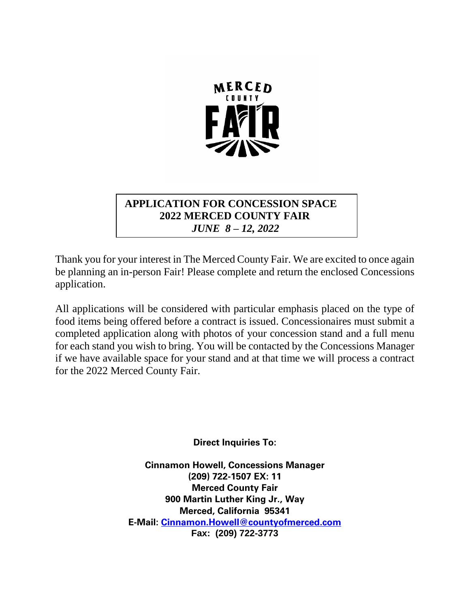

# **APPLICATION FOR CONCESSION SPACE 2022 MERCED COUNTY FAIR**  *JUNE 8 – 12, 2022*

Thank you for your interest in The Merced County Fair. We are excited to once again be planning an in-person Fair! Please complete and return the enclosed Concessions application.

All applications will be considered with particular emphasis placed on the type of food items being offered before a contract is issued. Concessionaires must submit a completed application along with photos of your concession stand and a full menu for each stand you wish to bring. You will be contacted by the Concessions Manager if we have available space for your stand and at that time we will process a contract for the 2022 Merced County Fair.

**Direct Inquiries To:**

**Cinnamon Howell, Concessions Manager (209) 722-1507 EX: 11 Merced County Fair 900 Martin Luther King Jr., Way Merced, California 95341 E-Mail: [Cinnamon.Howell@countyofmerced.com](mailto:Cinnamon.Howell@countyofmerced.com) Fax: (209) 722-3773**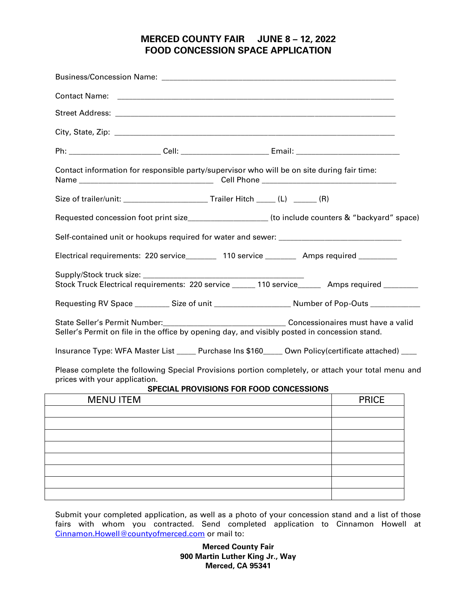# **MERCED COUNTY FAIR JUNE 8 – 12, 2022 FOOD CONCESSION SPACE APPLICATION**

| Ph: ____________________________Cell: ____________________________Email: ________________________________                                                                      |              |
|--------------------------------------------------------------------------------------------------------------------------------------------------------------------------------|--------------|
| Contact information for responsible party/supervisor who will be on site during fair time:                                                                                     |              |
|                                                                                                                                                                                |              |
| Requested concession foot print size__________________(to include counters & "backyard" space)                                                                                 |              |
|                                                                                                                                                                                |              |
| Electrical requirements: 220 service_______ 110 service _______ Amps required ________                                                                                         |              |
| Stock Truck Electrical requirements: 220 service ______ 110 service______ Amps required _______                                                                                |              |
|                                                                                                                                                                                |              |
| State Seller's Permit Number:<br><u> Concessionaires</u> must have a valid<br>Seller's Permit on file in the office by opening day, and visibly posted in concession stand.    |              |
| Insurance Type: WFA Master List _____ Purchase Ins \$160____ Own Policy(certificate attached) ____                                                                             |              |
| Please complete the following Special Provisions portion completely, or attach your total menu and<br>prices with your application.<br>SPECIAL PROVISIONS FOR FOOD CONCESSIONS |              |
| <b>MENU ITEM</b><br><u> 1989 - Johann Stein, Amerikaansk politiker († 1908)</u>                                                                                                | <b>PRICE</b> |
|                                                                                                                                                                                |              |
|                                                                                                                                                                                |              |
|                                                                                                                                                                                |              |
|                                                                                                                                                                                |              |
|                                                                                                                                                                                |              |

Submit your completed application, as well as a photo of your concession stand and a list of those fairs with whom you contracted. Send completed application to Cinnamon Howell at [Cinnamon.Howell@countyofmerced.com](mailto:Cinnamon.Howell@countyofmerced.com) or mail to:

> **Merced County Fair 900 Martin Luther King Jr., Way Merced, CA 95341**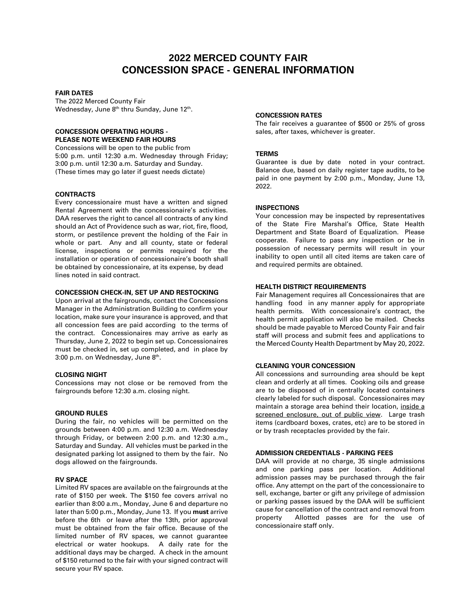# **2022 MERCED COUNTY FAIR CONCESSION SPACE - GENERAL INFORMATION**

## **FAIR DATES**

The 2022 Merced County Fair Wednesday, June 8<sup>th</sup> thru Sunday, June 12<sup>th</sup>.

#### **CONCESSION OPERATING HOURS - PLEASE NOTE WEEKEND FAIR HOURS**

Concessions will be open to the public from 5:00 p.m. until 12:30 a.m. Wednesday through Friday; 3:00 p.m. until 12:30 a.m. Saturday and Sunday. (These times may go later if guest needs dictate)

## **CONTRACTS**

Every concessionaire must have a written and signed Rental Agreement with the concessionaire's activities. DAA reserves the right to cancel all contracts of any kind should an Act of Providence such as war, riot, fire, flood, storm, or pestilence prevent the holding of the Fair in whole or part. Any and all county, state or federal license, inspections or permits required for the installation or operation of concessionaire's booth shall be obtained by concessionaire, at its expense, by dead lines noted in said contract.

#### **CONCESSION CHECK-IN, SET UP AND RESTOCKING**

Upon arrival at the fairgrounds, contact the Concessions Manager in the Administration Building to confirm your location, make sure your insurance is approved, and that all concession fees are paid according to the terms of the contract. Concessionaires may arrive as early as Thursday, June 2, 2022 to begin set up. Concessionaires must be checked in, set up completed, and in place by 3:00 p.m. on Wednesday, June 8<sup>th</sup>.

#### **CLOSING NIGHT**

Concessions may not close or be removed from the fairgrounds before 12:30 a.m. closing night.

#### **GROUND RULES**

During the fair, no vehicles will be permitted on the grounds between 4:00 p.m. and 12:30 a.m. Wednesday through Friday, or between 2:00 p.m. and 12:30 a.m., Saturday and Sunday. All vehicles must be parked in the designated parking lot assigned to them by the fair. No dogs allowed on the fairgrounds.

#### **RV SPACE**

Limited RV spaces are available on the fairgrounds at the rate of \$150 per week. The \$150 fee covers arrival no earlier than 8:00 a.m., Monday, June 6 and departure no later than 5:00 p.m., Monday, June 13. If you **must** arrive before the 6th or leave after the 13th, prior approval must be obtained from the fair office. Because of the limited number of RV spaces, we cannot guarantee electrical or water hookups. A daily rate for the additional days may be charged. A check in the amount of \$150 returned to the fair with your signed contract will secure your RV space.

#### **CONCESSION RATES**

The fair receives a guarantee of \$500 or 25% of gross sales, after taxes, whichever is greater.

#### **TERMS**

Guarantee is due by date noted in your contract. Balance due, based on daily register tape audits, to be paid in one payment by 2:00 p.m., Monday, June 13, 2022.

#### **INSPECTIONS**

Your concession may be inspected by representatives of the State Fire Marshal's Office, State Health Department and State Board of Equalization. Please cooperate. Failure to pass any inspection or be in possession of necessary permits will result in your inability to open until all cited items are taken care of and required permits are obtained.

# **HEALTH DISTRICT REQUIREMENTS**

Fair Management requires all Concessionaires that are handling food in any manner apply for appropriate health permits. With concessionaire's contract, the health permit application will also be mailed. Checks should be made payable to Merced County Fair and fair staff will process and submit fees and applications to the Merced County Health Department by May 20, 2022.

#### **CLEANING YOUR CONCESSION**

All concessions and surrounding area should be kept clean and orderly at all times. Cooking oils and grease are to be disposed of in centrally located containers clearly labeled for such disposal. Concessionaires may maintain a storage area behind their location, inside a screened enclosure, out of public view. Large trash items (cardboard boxes, crates, etc) are to be stored in or by trash receptacles provided by the fair.

#### **ADMISSION CREDENTIALS - PARKING FEES**

DAA will provide at no charge, 35 single admissions and one parking pass per location. Additional admission passes may be purchased through the fair office. Any attempt on the part of the concessionaire to sell, exchange, barter or gift any privilege of admission or parking passes issued by the DAA will be sufficient cause for cancellation of the contract and removal from property Allotted passes are for the use of concessionaire staff only.